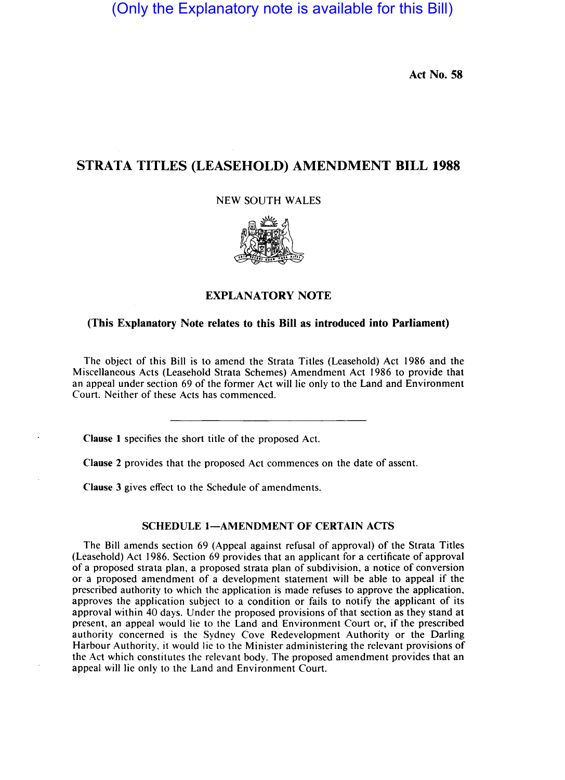(Only the Explanatory note is available for this Bill)

Act No. 58

## STRATA TITLES (LEASEHOLD) AMENDMENT BILL 1988

NEW SOUTH WALES



### EXPLANATORY NOTE

#### (This Explanatory Note relates to this Bill as introduced into Parliament)

The object of this Bill is to amend the Strata Titles (Leasehold) Act 1986 and the Miscellaneous Acts (Leasehold Strata Schemes) Amendment Act 1986 to provide that an appeal under section 69 of the former Act will lie only to the Land and Environment Court. Neither of these Acts has commenced.

Clause I specifies the short title of the proposed Act.

Clause 2 provides that the proposed Act commences on the date of assent.

Clause 3 gives effect to the Schedule of amendments.

#### SCHEDULE 1-AMENDMENT OF CERTAIN ACTS

The Bill amends section 69 (Appeal against refusal of approval) of the Strata Titles (Leasehold) Act 1986. Section 69 provides that an applicant for a certificate of approval of a proposed strata plan, a proposed strata plan of subdivision, a notice of conversion or a proposed amendment of a development statement will be able to appeal if the prescribed authority to which the application is made refuses to approve the application, approves the application subject to a condition or fails to notify the applicant of its approval within 40 days. Under the proposed provisions of that section as they stand at present, an appeal would lie to the Land and Environment Court or, if the prescribed authority concerned is the Sydney Cove Redevelopment Authority or the Darling Harbour Authority, it would lie to the Minister administering the relevant provisions of the Act which constitutes the relevant body. The proposed amendment provides that an appeal will lie only to the Land and Environment Court.